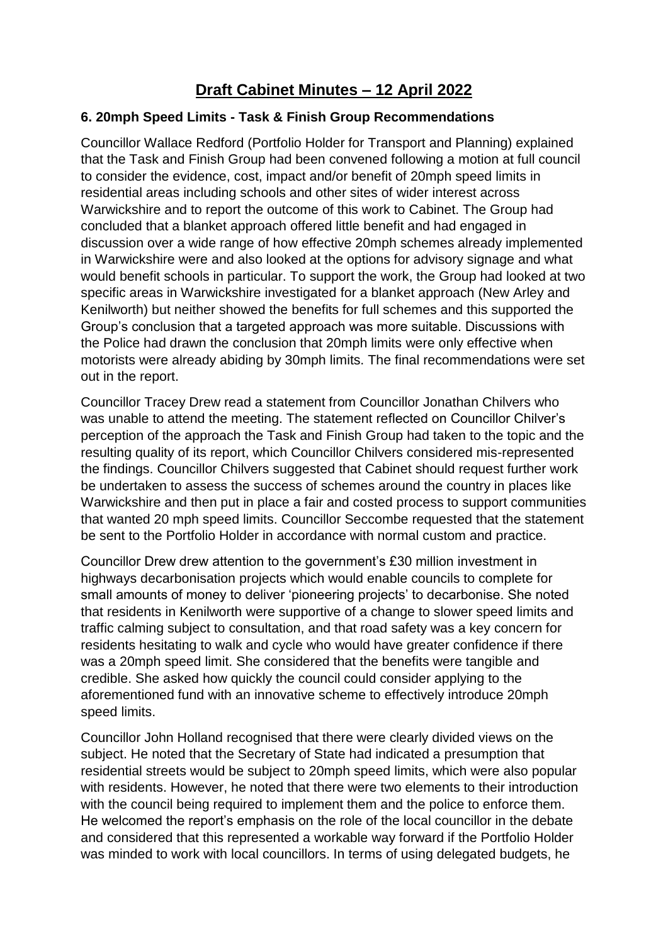## **Draft Cabinet Minutes – 12 April 2022**

## **6. 20mph Speed Limits - Task & Finish Group Recommendations**

Councillor Wallace Redford (Portfolio Holder for Transport and Planning) explained that the Task and Finish Group had been convened following a motion at full council to consider the evidence, cost, impact and/or benefit of 20mph speed limits in residential areas including schools and other sites of wider interest across Warwickshire and to report the outcome of this work to Cabinet. The Group had concluded that a blanket approach offered little benefit and had engaged in discussion over a wide range of how effective 20mph schemes already implemented in Warwickshire were and also looked at the options for advisory signage and what would benefit schools in particular. To support the work, the Group had looked at two specific areas in Warwickshire investigated for a blanket approach (New Arley and Kenilworth) but neither showed the benefits for full schemes and this supported the Group's conclusion that a targeted approach was more suitable. Discussions with the Police had drawn the conclusion that 20mph limits were only effective when motorists were already abiding by 30mph limits. The final recommendations were set out in the report.

Councillor Tracey Drew read a statement from Councillor Jonathan Chilvers who was unable to attend the meeting. The statement reflected on Councillor Chilver's perception of the approach the Task and Finish Group had taken to the topic and the resulting quality of its report, which Councillor Chilvers considered mis-represented the findings. Councillor Chilvers suggested that Cabinet should request further work be undertaken to assess the success of schemes around the country in places like Warwickshire and then put in place a fair and costed process to support communities that wanted 20 mph speed limits. Councillor Seccombe requested that the statement be sent to the Portfolio Holder in accordance with normal custom and practice.

Councillor Drew drew attention to the government's £30 million investment in highways decarbonisation projects which would enable councils to complete for small amounts of money to deliver 'pioneering projects' to decarbonise. She noted that residents in Kenilworth were supportive of a change to slower speed limits and traffic calming subject to consultation, and that road safety was a key concern for residents hesitating to walk and cycle who would have greater confidence if there was a 20mph speed limit. She considered that the benefits were tangible and credible. She asked how quickly the council could consider applying to the aforementioned fund with an innovative scheme to effectively introduce 20mph speed limits.

Councillor John Holland recognised that there were clearly divided views on the subject. He noted that the Secretary of State had indicated a presumption that residential streets would be subject to 20mph speed limits, which were also popular with residents. However, he noted that there were two elements to their introduction with the council being required to implement them and the police to enforce them. He welcomed the report's emphasis on the role of the local councillor in the debate and considered that this represented a workable way forward if the Portfolio Holder was minded to work with local councillors. In terms of using delegated budgets, he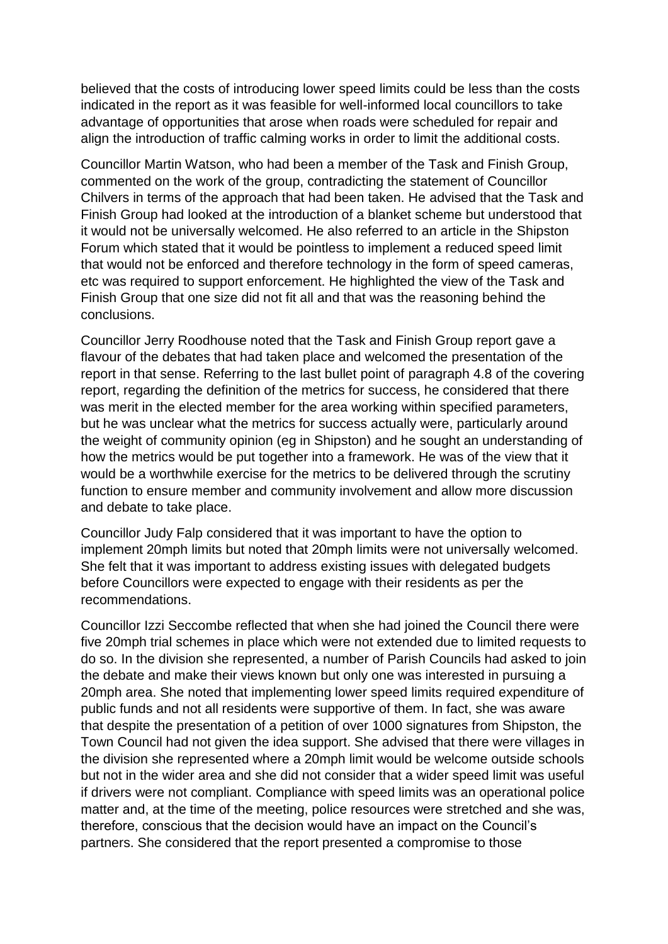believed that the costs of introducing lower speed limits could be less than the costs indicated in the report as it was feasible for well-informed local councillors to take advantage of opportunities that arose when roads were scheduled for repair and align the introduction of traffic calming works in order to limit the additional costs.

Councillor Martin Watson, who had been a member of the Task and Finish Group, commented on the work of the group, contradicting the statement of Councillor Chilvers in terms of the approach that had been taken. He advised that the Task and Finish Group had looked at the introduction of a blanket scheme but understood that it would not be universally welcomed. He also referred to an article in the Shipston Forum which stated that it would be pointless to implement a reduced speed limit that would not be enforced and therefore technology in the form of speed cameras, etc was required to support enforcement. He highlighted the view of the Task and Finish Group that one size did not fit all and that was the reasoning behind the conclusions.

Councillor Jerry Roodhouse noted that the Task and Finish Group report gave a flavour of the debates that had taken place and welcomed the presentation of the report in that sense. Referring to the last bullet point of paragraph 4.8 of the covering report, regarding the definition of the metrics for success, he considered that there was merit in the elected member for the area working within specified parameters, but he was unclear what the metrics for success actually were, particularly around the weight of community opinion (eg in Shipston) and he sought an understanding of how the metrics would be put together into a framework. He was of the view that it would be a worthwhile exercise for the metrics to be delivered through the scrutiny function to ensure member and community involvement and allow more discussion and debate to take place.

Councillor Judy Falp considered that it was important to have the option to implement 20mph limits but noted that 20mph limits were not universally welcomed. She felt that it was important to address existing issues with delegated budgets before Councillors were expected to engage with their residents as per the recommendations.

Councillor Izzi Seccombe reflected that when she had joined the Council there were five 20mph trial schemes in place which were not extended due to limited requests to do so. In the division she represented, a number of Parish Councils had asked to join the debate and make their views known but only one was interested in pursuing a 20mph area. She noted that implementing lower speed limits required expenditure of public funds and not all residents were supportive of them. In fact, she was aware that despite the presentation of a petition of over 1000 signatures from Shipston, the Town Council had not given the idea support. She advised that there were villages in the division she represented where a 20mph limit would be welcome outside schools but not in the wider area and she did not consider that a wider speed limit was useful if drivers were not compliant. Compliance with speed limits was an operational police matter and, at the time of the meeting, police resources were stretched and she was, therefore, conscious that the decision would have an impact on the Council's partners. She considered that the report presented a compromise to those